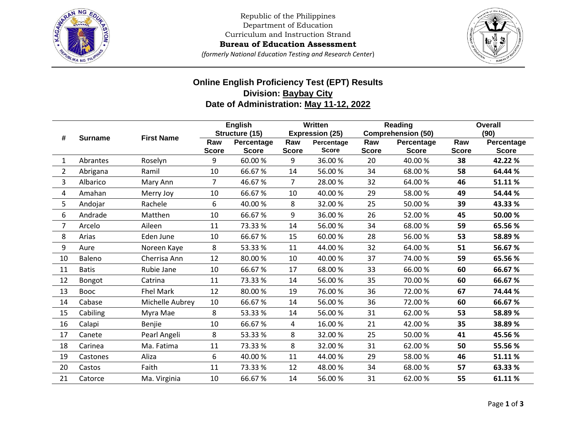

Republic of the Philippines Department of Education Curriculum and Instruction Strand

**Bureau of Education Assessment**

*(formerly National Education Testing and Research Center*)



## **Online English Proficiency Test (EPT) Results Division: Baybay City Date of Administration: May 11-12, 2022**

| #              | <b>Surname</b> | <b>First Name</b> | <b>English</b>      |                                              | Written             |                                                      | Reading             |                                                         | <b>Overall</b>      |                                    |
|----------------|----------------|-------------------|---------------------|----------------------------------------------|---------------------|------------------------------------------------------|---------------------|---------------------------------------------------------|---------------------|------------------------------------|
|                |                |                   | Raw<br><b>Score</b> | Structure (15)<br>Percentage<br><b>Score</b> | Raw<br><b>Score</b> | <b>Expression (25)</b><br>Percentage<br><b>Score</b> | Raw<br><b>Score</b> | <b>Comprehension (50)</b><br>Percentage<br><b>Score</b> | Raw<br><b>Score</b> | (90)<br>Percentage<br><b>Score</b> |
| $\mathbf{1}$   | Abrantes       | Roselyn           | 9                   | 60.00%                                       | 9                   | 36.00%                                               | 20                  | 40.00%                                                  | 38                  | 42.22 %                            |
| $\overline{2}$ | Abrigana       | Ramil             | 10                  | 66.67%                                       | 14                  | 56.00%                                               | 34                  | 68.00%                                                  | 58                  | 64.44 %                            |
| 3              | Albarico       | Mary Ann          | $\overline{7}$      | 46.67%                                       | $\overline{7}$      | 28.00%                                               | 32                  | 64.00%                                                  | 46                  | 51.11%                             |
| 4              | Amahan         | Merry Joy         | 10                  | 66.67%                                       | 10                  | 40.00%                                               | 29                  | 58.00 %                                                 | 49                  | 54.44 %                            |
| 5              | Andojar        | Rachele           | 6                   | 40.00%                                       | 8                   | 32.00%                                               | 25                  | 50.00 %                                                 | 39                  | 43.33 %                            |
| 6              | Andrade        | Matthen           | 10                  | 66.67%                                       | 9                   | 36.00%                                               | 26                  | 52.00%                                                  | 45                  | 50.00 %                            |
| 7              | Arcelo         | Aileen            | 11                  | 73.33%                                       | 14                  | 56.00%                                               | 34                  | 68.00%                                                  | 59                  | 65.56 %                            |
| 8              | Arias          | Eden June         | 10                  | 66.67%                                       | 15                  | 60.00%                                               | 28                  | 56.00%                                                  | 53                  | 58.89 %                            |
| 9              | Aure           | Noreen Kaye       | 8                   | 53.33%                                       | 11                  | 44.00%                                               | 32                  | 64.00%                                                  | 51                  | 56.67%                             |
| 10             | Baleno         | Cherrisa Ann      | 12                  | 80.00%                                       | 10                  | 40.00%                                               | 37                  | 74.00 %                                                 | 59                  | 65.56 %                            |
| 11             | <b>Batis</b>   | Rubie Jane        | 10                  | 66.67%                                       | 17                  | 68.00%                                               | 33                  | 66.00%                                                  | 60                  | 66.67%                             |
| 12             | Bongot         | Catrina           | 11                  | 73.33%                                       | 14                  | 56.00%                                               | 35                  | 70.00%                                                  | 60                  | 66.67%                             |
| 13             | <b>Booc</b>    | <b>Fhel Mark</b>  | 12                  | 80.00%                                       | 19                  | 76.00%                                               | 36                  | 72.00 %                                                 | 67                  | 74.44 %                            |
| 14             | Cabase         | Michelle Aubrey   | 10                  | 66.67%                                       | 14                  | 56.00%                                               | 36                  | 72.00%                                                  | 60                  | 66.67%                             |
| 15             | Cabiling       | Myra Mae          | 8                   | 53.33%                                       | 14                  | 56.00%                                               | 31                  | 62.00%                                                  | 53                  | 58.89 %                            |
| 16             | Calapi         | Benjie            | 10                  | 66.67%                                       | 4                   | 16.00%                                               | 21                  | 42.00%                                                  | 35                  | 38.89%                             |
| 17             | Canete         | Pearl Angeli      | 8                   | 53.33 %                                      | 8                   | 32.00%                                               | 25                  | 50.00 %                                                 | 41                  | 45.56%                             |
| 18             | Carinea        | Ma. Fatima        | 11                  | 73.33%                                       | 8                   | 32.00%                                               | 31                  | 62.00%                                                  | 50                  | 55.56 %                            |
| 19             | Castones       | Aliza             | 6                   | 40.00%                                       | 11                  | 44.00%                                               | 29                  | 58.00%                                                  | 46                  | 51.11%                             |
| 20             | Castos         | Faith             | 11                  | 73.33%                                       | 12                  | 48.00%                                               | 34                  | 68.00%                                                  | 57                  | 63.33 %                            |
| 21             | Catorce        | Ma. Virginia      | 10                  | 66.67%                                       | 14                  | 56.00%                                               | 31                  | 62.00%                                                  | 55                  | 61.11%                             |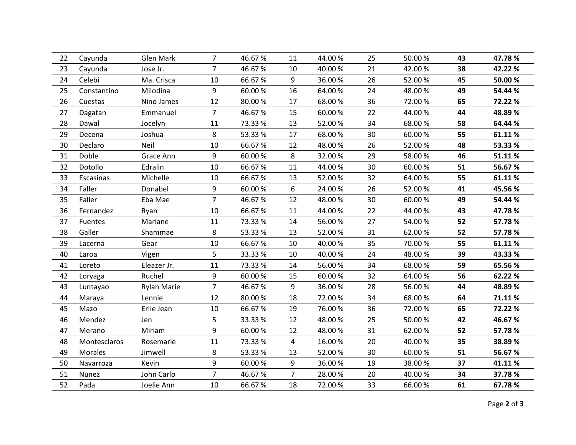| 44.00%<br>50.00 %<br>47.78%<br>Glen Mark<br>$\overline{7}$<br>46.67%<br>11<br>25<br>43<br>22<br>Cayunda<br>$\overline{7}$<br>10<br>21<br>38<br>23<br>46.67%<br>40.00%<br>42.00%<br>42.22%<br>Cayunda<br>Jose Jr.<br>24<br>Celebi<br>10<br>66.67%<br>9<br>26<br>52.00%<br>45<br>50.00 %<br>Ma. Crisca<br>36.00%<br>9<br>25<br>16<br>64.00%<br>24<br>48.00%<br>49<br>54.44 %<br>Milodina<br>60.00%<br>Constantino<br>36<br>26<br>12<br>17<br>65<br>80.00%<br>68.00%<br>72.00%<br>72.22 %<br>Cuestas<br>Nino James<br>$\overline{7}$<br>22<br>44.00%<br>27<br>Dagatan<br>Emmanuel<br>46.67%<br>15<br>60.00%<br>44<br>48.89%<br>34<br>11<br>13<br>58<br>64.44 %<br>28<br>Dawal<br>73.33%<br>52.00%<br>68.00%<br>Jocelyn<br>29<br>8<br>30<br>53.33%<br>17<br>68.00%<br>60.00%<br>55<br>61.11%<br>Decena<br>Joshua<br>30<br>Neil<br>12<br>26<br>48<br>10<br>66.67%<br>48.00%<br>52.00%<br>53.33 %<br>Declaro<br>9<br>8<br>31<br>29<br>46<br>Doble<br>Grace Ann<br>60.00%<br>32.00%<br>58.00 %<br>51.11%<br>32<br>Dotollo<br>66.67%<br>30<br>51<br>56.67%<br>Edralin<br>10<br>11<br>44.00%<br>60.00 %<br>Michelle<br>10<br>13<br>32<br>55<br>61.11%<br>33<br>Escasinas<br>66.67%<br>52.00%<br>64.00%<br>34<br>6<br>26<br>Faller<br>Donabel<br>9<br>60.00%<br>24.00%<br>52.00%<br>41<br>45.56%<br>$\overline{7}$<br>35<br>12<br>Faller<br>46.67%<br>48.00%<br>30<br>60.00%<br>49<br>54.44 %<br>Eba Mae<br>36<br>10<br>11<br>22<br>43<br>Fernandez<br>66.67%<br>44.00%<br>44.00 %<br>47.78%<br>Ryan<br>27<br>52<br>37<br>Mariane<br>11<br>73.33%<br>14<br>56.00%<br>54.00%<br>57.78%<br>Fuentes<br>8<br>13<br>31<br>52<br>38<br>Galler<br>53.33%<br>52.00%<br>62.00%<br>57.78%<br>Shammae<br>39<br>35<br>55<br>Gear<br>10<br>66.67%<br>10<br>40.00%<br>70.00%<br>61.11%<br>Lacerna<br>5<br>40<br>33.33%<br>40.00%<br>24<br>48.00%<br>39<br>10<br>43.33 %<br>Laroa<br>Vigen<br>34<br>41<br>11<br>73.33%<br>14<br>56.00%<br>59<br>Loreto<br>Eleazer Jr.<br>68.00%<br>65.56%<br>42<br>Ruchel<br>9<br>60.00%<br>60.00%<br>32<br>64.00%<br>56<br>15<br>62.22 %<br>Loryaga<br>$\overline{7}$<br>9<br>28<br>44<br>43<br>46.67%<br>36.00%<br>56.00%<br>48.89%<br><b>Rylah Marie</b><br>Luntayao<br>44<br>12<br>34<br>80.00%<br>18<br>72.00%<br>68.00%<br>64<br>71.11%<br>Maraya<br>Lennie<br>36<br>45<br>19<br>76.00%<br>72.00%<br>65<br>72.22 %<br>Mazo<br>Erlie Jean<br>10<br>66.67%<br>5<br>46<br>12<br>25<br>42<br>Mendez<br>33.33 %<br>48.00%<br>50.00 %<br>46.67%<br>Jen<br>9<br>47<br>60.00%<br>12<br>31<br>62.00%<br>52<br>57.78%<br>Merano<br>Miriam<br>48.00%<br>11<br>4<br>20<br>35<br>48<br>73.33%<br>16.00%<br>40.00%<br>38.89%<br>Montesclaros<br>Rosemarie<br>49<br>30<br><b>Morales</b><br>8<br>53.33%<br>13<br>52.00%<br>60.00%<br>51<br>56.67%<br>Jimwell<br>9<br>9<br>37<br>50<br>60.00%<br>36.00%<br>19<br>38.00%<br>41.11%<br>Navarroza<br>Kevin<br>$\overline{7}$<br>$\overline{7}$<br>51<br>John Carlo<br>46.67%<br>28.00%<br>20<br>34<br>37.78%<br>40.00%<br>Nunez<br>52<br>33<br>Pada<br>10<br>18<br>61<br>Joelie Ann<br>66.67%<br>72.00%<br>66.00 %<br>67.78% |  |  |  |  |  |  |
|------------------------------------------------------------------------------------------------------------------------------------------------------------------------------------------------------------------------------------------------------------------------------------------------------------------------------------------------------------------------------------------------------------------------------------------------------------------------------------------------------------------------------------------------------------------------------------------------------------------------------------------------------------------------------------------------------------------------------------------------------------------------------------------------------------------------------------------------------------------------------------------------------------------------------------------------------------------------------------------------------------------------------------------------------------------------------------------------------------------------------------------------------------------------------------------------------------------------------------------------------------------------------------------------------------------------------------------------------------------------------------------------------------------------------------------------------------------------------------------------------------------------------------------------------------------------------------------------------------------------------------------------------------------------------------------------------------------------------------------------------------------------------------------------------------------------------------------------------------------------------------------------------------------------------------------------------------------------------------------------------------------------------------------------------------------------------------------------------------------------------------------------------------------------------------------------------------------------------------------------------------------------------------------------------------------------------------------------------------------------------------------------------------------------------------------------------------------------------------------------------------------------------------------------------------------------------------------------------------------------------------------------------------------------------------------------------------------------------------------------------------------------------------------------------------------------------------------------------------------------------------------------------------------------------------------------------------------------------------------------------------------------------------------------------------------------|--|--|--|--|--|--|
|                                                                                                                                                                                                                                                                                                                                                                                                                                                                                                                                                                                                                                                                                                                                                                                                                                                                                                                                                                                                                                                                                                                                                                                                                                                                                                                                                                                                                                                                                                                                                                                                                                                                                                                                                                                                                                                                                                                                                                                                                                                                                                                                                                                                                                                                                                                                                                                                                                                                                                                                                                                                                                                                                                                                                                                                                                                                                                                                                                                                                                                                        |  |  |  |  |  |  |
|                                                                                                                                                                                                                                                                                                                                                                                                                                                                                                                                                                                                                                                                                                                                                                                                                                                                                                                                                                                                                                                                                                                                                                                                                                                                                                                                                                                                                                                                                                                                                                                                                                                                                                                                                                                                                                                                                                                                                                                                                                                                                                                                                                                                                                                                                                                                                                                                                                                                                                                                                                                                                                                                                                                                                                                                                                                                                                                                                                                                                                                                        |  |  |  |  |  |  |
|                                                                                                                                                                                                                                                                                                                                                                                                                                                                                                                                                                                                                                                                                                                                                                                                                                                                                                                                                                                                                                                                                                                                                                                                                                                                                                                                                                                                                                                                                                                                                                                                                                                                                                                                                                                                                                                                                                                                                                                                                                                                                                                                                                                                                                                                                                                                                                                                                                                                                                                                                                                                                                                                                                                                                                                                                                                                                                                                                                                                                                                                        |  |  |  |  |  |  |
|                                                                                                                                                                                                                                                                                                                                                                                                                                                                                                                                                                                                                                                                                                                                                                                                                                                                                                                                                                                                                                                                                                                                                                                                                                                                                                                                                                                                                                                                                                                                                                                                                                                                                                                                                                                                                                                                                                                                                                                                                                                                                                                                                                                                                                                                                                                                                                                                                                                                                                                                                                                                                                                                                                                                                                                                                                                                                                                                                                                                                                                                        |  |  |  |  |  |  |
|                                                                                                                                                                                                                                                                                                                                                                                                                                                                                                                                                                                                                                                                                                                                                                                                                                                                                                                                                                                                                                                                                                                                                                                                                                                                                                                                                                                                                                                                                                                                                                                                                                                                                                                                                                                                                                                                                                                                                                                                                                                                                                                                                                                                                                                                                                                                                                                                                                                                                                                                                                                                                                                                                                                                                                                                                                                                                                                                                                                                                                                                        |  |  |  |  |  |  |
|                                                                                                                                                                                                                                                                                                                                                                                                                                                                                                                                                                                                                                                                                                                                                                                                                                                                                                                                                                                                                                                                                                                                                                                                                                                                                                                                                                                                                                                                                                                                                                                                                                                                                                                                                                                                                                                                                                                                                                                                                                                                                                                                                                                                                                                                                                                                                                                                                                                                                                                                                                                                                                                                                                                                                                                                                                                                                                                                                                                                                                                                        |  |  |  |  |  |  |
|                                                                                                                                                                                                                                                                                                                                                                                                                                                                                                                                                                                                                                                                                                                                                                                                                                                                                                                                                                                                                                                                                                                                                                                                                                                                                                                                                                                                                                                                                                                                                                                                                                                                                                                                                                                                                                                                                                                                                                                                                                                                                                                                                                                                                                                                                                                                                                                                                                                                                                                                                                                                                                                                                                                                                                                                                                                                                                                                                                                                                                                                        |  |  |  |  |  |  |
|                                                                                                                                                                                                                                                                                                                                                                                                                                                                                                                                                                                                                                                                                                                                                                                                                                                                                                                                                                                                                                                                                                                                                                                                                                                                                                                                                                                                                                                                                                                                                                                                                                                                                                                                                                                                                                                                                                                                                                                                                                                                                                                                                                                                                                                                                                                                                                                                                                                                                                                                                                                                                                                                                                                                                                                                                                                                                                                                                                                                                                                                        |  |  |  |  |  |  |
|                                                                                                                                                                                                                                                                                                                                                                                                                                                                                                                                                                                                                                                                                                                                                                                                                                                                                                                                                                                                                                                                                                                                                                                                                                                                                                                                                                                                                                                                                                                                                                                                                                                                                                                                                                                                                                                                                                                                                                                                                                                                                                                                                                                                                                                                                                                                                                                                                                                                                                                                                                                                                                                                                                                                                                                                                                                                                                                                                                                                                                                                        |  |  |  |  |  |  |
|                                                                                                                                                                                                                                                                                                                                                                                                                                                                                                                                                                                                                                                                                                                                                                                                                                                                                                                                                                                                                                                                                                                                                                                                                                                                                                                                                                                                                                                                                                                                                                                                                                                                                                                                                                                                                                                                                                                                                                                                                                                                                                                                                                                                                                                                                                                                                                                                                                                                                                                                                                                                                                                                                                                                                                                                                                                                                                                                                                                                                                                                        |  |  |  |  |  |  |
|                                                                                                                                                                                                                                                                                                                                                                                                                                                                                                                                                                                                                                                                                                                                                                                                                                                                                                                                                                                                                                                                                                                                                                                                                                                                                                                                                                                                                                                                                                                                                                                                                                                                                                                                                                                                                                                                                                                                                                                                                                                                                                                                                                                                                                                                                                                                                                                                                                                                                                                                                                                                                                                                                                                                                                                                                                                                                                                                                                                                                                                                        |  |  |  |  |  |  |
|                                                                                                                                                                                                                                                                                                                                                                                                                                                                                                                                                                                                                                                                                                                                                                                                                                                                                                                                                                                                                                                                                                                                                                                                                                                                                                                                                                                                                                                                                                                                                                                                                                                                                                                                                                                                                                                                                                                                                                                                                                                                                                                                                                                                                                                                                                                                                                                                                                                                                                                                                                                                                                                                                                                                                                                                                                                                                                                                                                                                                                                                        |  |  |  |  |  |  |
|                                                                                                                                                                                                                                                                                                                                                                                                                                                                                                                                                                                                                                                                                                                                                                                                                                                                                                                                                                                                                                                                                                                                                                                                                                                                                                                                                                                                                                                                                                                                                                                                                                                                                                                                                                                                                                                                                                                                                                                                                                                                                                                                                                                                                                                                                                                                                                                                                                                                                                                                                                                                                                                                                                                                                                                                                                                                                                                                                                                                                                                                        |  |  |  |  |  |  |
|                                                                                                                                                                                                                                                                                                                                                                                                                                                                                                                                                                                                                                                                                                                                                                                                                                                                                                                                                                                                                                                                                                                                                                                                                                                                                                                                                                                                                                                                                                                                                                                                                                                                                                                                                                                                                                                                                                                                                                                                                                                                                                                                                                                                                                                                                                                                                                                                                                                                                                                                                                                                                                                                                                                                                                                                                                                                                                                                                                                                                                                                        |  |  |  |  |  |  |
|                                                                                                                                                                                                                                                                                                                                                                                                                                                                                                                                                                                                                                                                                                                                                                                                                                                                                                                                                                                                                                                                                                                                                                                                                                                                                                                                                                                                                                                                                                                                                                                                                                                                                                                                                                                                                                                                                                                                                                                                                                                                                                                                                                                                                                                                                                                                                                                                                                                                                                                                                                                                                                                                                                                                                                                                                                                                                                                                                                                                                                                                        |  |  |  |  |  |  |
|                                                                                                                                                                                                                                                                                                                                                                                                                                                                                                                                                                                                                                                                                                                                                                                                                                                                                                                                                                                                                                                                                                                                                                                                                                                                                                                                                                                                                                                                                                                                                                                                                                                                                                                                                                                                                                                                                                                                                                                                                                                                                                                                                                                                                                                                                                                                                                                                                                                                                                                                                                                                                                                                                                                                                                                                                                                                                                                                                                                                                                                                        |  |  |  |  |  |  |
|                                                                                                                                                                                                                                                                                                                                                                                                                                                                                                                                                                                                                                                                                                                                                                                                                                                                                                                                                                                                                                                                                                                                                                                                                                                                                                                                                                                                                                                                                                                                                                                                                                                                                                                                                                                                                                                                                                                                                                                                                                                                                                                                                                                                                                                                                                                                                                                                                                                                                                                                                                                                                                                                                                                                                                                                                                                                                                                                                                                                                                                                        |  |  |  |  |  |  |
|                                                                                                                                                                                                                                                                                                                                                                                                                                                                                                                                                                                                                                                                                                                                                                                                                                                                                                                                                                                                                                                                                                                                                                                                                                                                                                                                                                                                                                                                                                                                                                                                                                                                                                                                                                                                                                                                                                                                                                                                                                                                                                                                                                                                                                                                                                                                                                                                                                                                                                                                                                                                                                                                                                                                                                                                                                                                                                                                                                                                                                                                        |  |  |  |  |  |  |
|                                                                                                                                                                                                                                                                                                                                                                                                                                                                                                                                                                                                                                                                                                                                                                                                                                                                                                                                                                                                                                                                                                                                                                                                                                                                                                                                                                                                                                                                                                                                                                                                                                                                                                                                                                                                                                                                                                                                                                                                                                                                                                                                                                                                                                                                                                                                                                                                                                                                                                                                                                                                                                                                                                                                                                                                                                                                                                                                                                                                                                                                        |  |  |  |  |  |  |
|                                                                                                                                                                                                                                                                                                                                                                                                                                                                                                                                                                                                                                                                                                                                                                                                                                                                                                                                                                                                                                                                                                                                                                                                                                                                                                                                                                                                                                                                                                                                                                                                                                                                                                                                                                                                                                                                                                                                                                                                                                                                                                                                                                                                                                                                                                                                                                                                                                                                                                                                                                                                                                                                                                                                                                                                                                                                                                                                                                                                                                                                        |  |  |  |  |  |  |
|                                                                                                                                                                                                                                                                                                                                                                                                                                                                                                                                                                                                                                                                                                                                                                                                                                                                                                                                                                                                                                                                                                                                                                                                                                                                                                                                                                                                                                                                                                                                                                                                                                                                                                                                                                                                                                                                                                                                                                                                                                                                                                                                                                                                                                                                                                                                                                                                                                                                                                                                                                                                                                                                                                                                                                                                                                                                                                                                                                                                                                                                        |  |  |  |  |  |  |
|                                                                                                                                                                                                                                                                                                                                                                                                                                                                                                                                                                                                                                                                                                                                                                                                                                                                                                                                                                                                                                                                                                                                                                                                                                                                                                                                                                                                                                                                                                                                                                                                                                                                                                                                                                                                                                                                                                                                                                                                                                                                                                                                                                                                                                                                                                                                                                                                                                                                                                                                                                                                                                                                                                                                                                                                                                                                                                                                                                                                                                                                        |  |  |  |  |  |  |
|                                                                                                                                                                                                                                                                                                                                                                                                                                                                                                                                                                                                                                                                                                                                                                                                                                                                                                                                                                                                                                                                                                                                                                                                                                                                                                                                                                                                                                                                                                                                                                                                                                                                                                                                                                                                                                                                                                                                                                                                                                                                                                                                                                                                                                                                                                                                                                                                                                                                                                                                                                                                                                                                                                                                                                                                                                                                                                                                                                                                                                                                        |  |  |  |  |  |  |
|                                                                                                                                                                                                                                                                                                                                                                                                                                                                                                                                                                                                                                                                                                                                                                                                                                                                                                                                                                                                                                                                                                                                                                                                                                                                                                                                                                                                                                                                                                                                                                                                                                                                                                                                                                                                                                                                                                                                                                                                                                                                                                                                                                                                                                                                                                                                                                                                                                                                                                                                                                                                                                                                                                                                                                                                                                                                                                                                                                                                                                                                        |  |  |  |  |  |  |
|                                                                                                                                                                                                                                                                                                                                                                                                                                                                                                                                                                                                                                                                                                                                                                                                                                                                                                                                                                                                                                                                                                                                                                                                                                                                                                                                                                                                                                                                                                                                                                                                                                                                                                                                                                                                                                                                                                                                                                                                                                                                                                                                                                                                                                                                                                                                                                                                                                                                                                                                                                                                                                                                                                                                                                                                                                                                                                                                                                                                                                                                        |  |  |  |  |  |  |
|                                                                                                                                                                                                                                                                                                                                                                                                                                                                                                                                                                                                                                                                                                                                                                                                                                                                                                                                                                                                                                                                                                                                                                                                                                                                                                                                                                                                                                                                                                                                                                                                                                                                                                                                                                                                                                                                                                                                                                                                                                                                                                                                                                                                                                                                                                                                                                                                                                                                                                                                                                                                                                                                                                                                                                                                                                                                                                                                                                                                                                                                        |  |  |  |  |  |  |
|                                                                                                                                                                                                                                                                                                                                                                                                                                                                                                                                                                                                                                                                                                                                                                                                                                                                                                                                                                                                                                                                                                                                                                                                                                                                                                                                                                                                                                                                                                                                                                                                                                                                                                                                                                                                                                                                                                                                                                                                                                                                                                                                                                                                                                                                                                                                                                                                                                                                                                                                                                                                                                                                                                                                                                                                                                                                                                                                                                                                                                                                        |  |  |  |  |  |  |
|                                                                                                                                                                                                                                                                                                                                                                                                                                                                                                                                                                                                                                                                                                                                                                                                                                                                                                                                                                                                                                                                                                                                                                                                                                                                                                                                                                                                                                                                                                                                                                                                                                                                                                                                                                                                                                                                                                                                                                                                                                                                                                                                                                                                                                                                                                                                                                                                                                                                                                                                                                                                                                                                                                                                                                                                                                                                                                                                                                                                                                                                        |  |  |  |  |  |  |
|                                                                                                                                                                                                                                                                                                                                                                                                                                                                                                                                                                                                                                                                                                                                                                                                                                                                                                                                                                                                                                                                                                                                                                                                                                                                                                                                                                                                                                                                                                                                                                                                                                                                                                                                                                                                                                                                                                                                                                                                                                                                                                                                                                                                                                                                                                                                                                                                                                                                                                                                                                                                                                                                                                                                                                                                                                                                                                                                                                                                                                                                        |  |  |  |  |  |  |
|                                                                                                                                                                                                                                                                                                                                                                                                                                                                                                                                                                                                                                                                                                                                                                                                                                                                                                                                                                                                                                                                                                                                                                                                                                                                                                                                                                                                                                                                                                                                                                                                                                                                                                                                                                                                                                                                                                                                                                                                                                                                                                                                                                                                                                                                                                                                                                                                                                                                                                                                                                                                                                                                                                                                                                                                                                                                                                                                                                                                                                                                        |  |  |  |  |  |  |
|                                                                                                                                                                                                                                                                                                                                                                                                                                                                                                                                                                                                                                                                                                                                                                                                                                                                                                                                                                                                                                                                                                                                                                                                                                                                                                                                                                                                                                                                                                                                                                                                                                                                                                                                                                                                                                                                                                                                                                                                                                                                                                                                                                                                                                                                                                                                                                                                                                                                                                                                                                                                                                                                                                                                                                                                                                                                                                                                                                                                                                                                        |  |  |  |  |  |  |